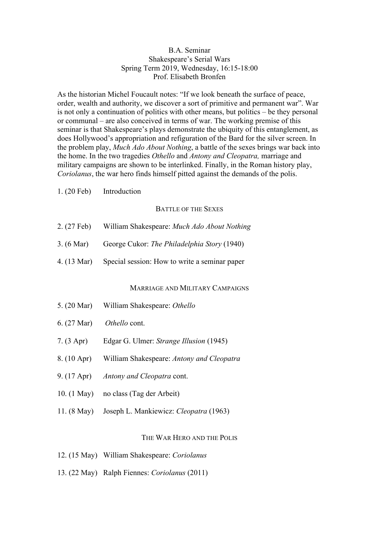### B.A. Seminar Shakespeare's Serial Wars Spring Term 2019, Wednesday, 16:15-18:00 Prof. Elisabeth Bronfen

As the historian Michel Foucault notes: "If we look beneath the surface of peace, order, wealth and authority, we discover a sort of primitive and permanent war". War is not only a continuation of politics with other means, but politics – be they personal or communal – are also conceived in terms of war. The working premise of this seminar is that Shakespeare's plays demonstrate the ubiquity of this entanglement, as does Hollywood's appropriation and refiguration of the Bard for the silver screen. In the problem play, *Much Ado About Nothing*, a battle of the sexes brings war back into the home. In the two tragedies *Othello* and *Antony and Cleopatra,* marriage and military campaigns are shown to be interlinked. Finally, in the Roman history play, *Coriolanus*, the war hero finds himself pitted against the demands of the polis.

1. (20 Feb) Introduction

#### BATTLE OF THE SEXES

- 2. (27 Feb) William Shakespeare: *Much Ado About Nothing*
- 3. (6 Mar) George Cukor: *The Philadelphia Story* (1940)
- 4. (13 Mar) Special session: How to write a seminar paper

#### MARRIAGE AND MILITARY CAMPAIGNS

- 5. (20 Mar) William Shakespeare: *Othello*
- 6. (27 Mar) *Othello* cont.
- 7. (3 Apr) Edgar G. Ulmer: *Strange Illusion* (1945)
- 8. (10 Apr) William Shakespeare: *Antony and Cleopatra*
- 9. (17 Apr) *Antony and Cleopatra* cont.
- 10. (1 May) no class (Tag der Arbeit)
- 11. (8 May) Joseph L. Mankiewicz: *Cleopatra* (1963)

### THE WAR HERO AND THE POLIS

- 12. (15 May) William Shakespeare: *Coriolanus*
- 13. (22 May) Ralph Fiennes: *Coriolanus* (2011)